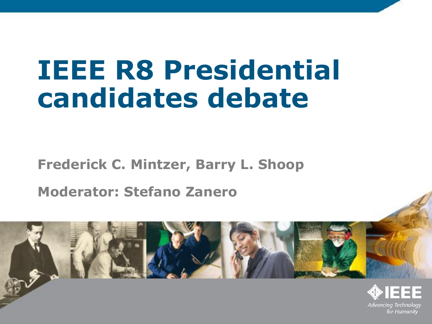# **IEEE R8 Presidential candidates debate**

#### **Frederick C. Mintzer, Barry L. Shoop Moderator: Stefano Zanero**

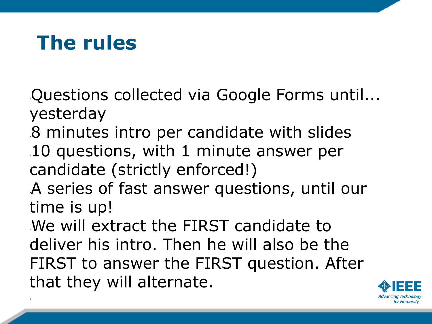#### **The rules**

\*

- •Questions collected via Google Forms until... yesterday
- •8 minutes intro per candidate with slides •10 questions, with 1 minute answer per candidate (strictly enforced!)
- •A series of fast answer questions, until our time is up!
- •We will extract the FIRST candidate to deliver his intro. Then he will also be the FIRST to answer the FIRST question. After that they will alternate.

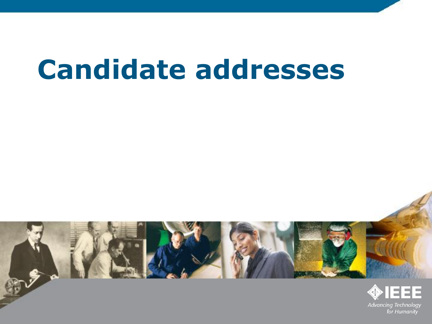## **Candidate addresses**

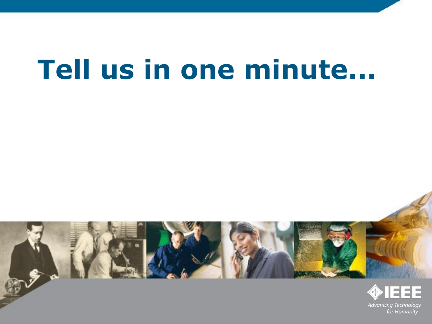# **Tell us in one minute...**

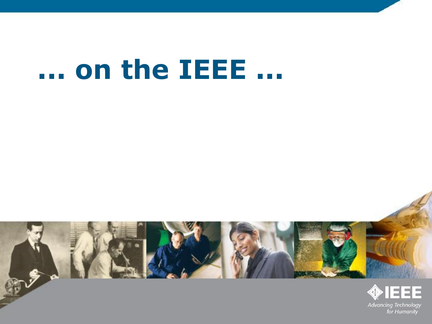# **... on the IEEE ...**

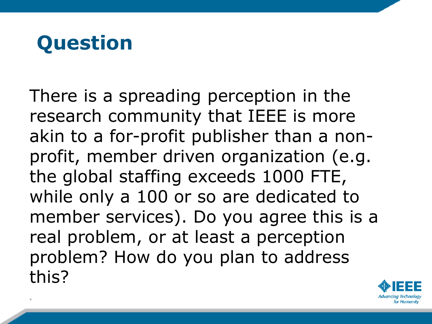#### **Question**

\*

There is a spreading perception in the research community that IEEE is more akin to a for-profit publisher than a nonprofit, member driven organization (e.g. the global staffing exceeds 1000 FTE, while only a 100 or so are dedicated to member services). Do you agree this is a real problem, or at least a perception problem? How do you plan to address this?

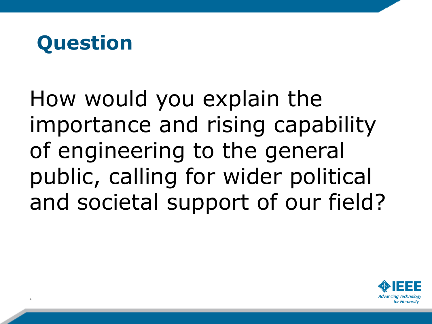

How would you explain the importance and rising capability of engineering to the general public, calling for wider political and societal support of our field?

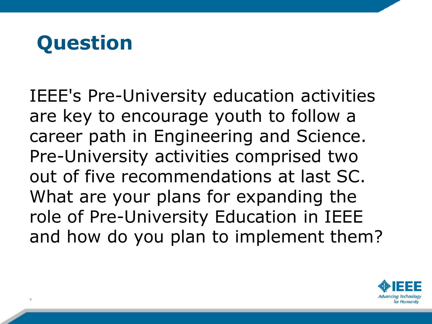#### **Question**

\*

IEEE's Pre-University education activities are key to encourage youth to follow a career path in Engineering and Science. Pre-University activities comprised two out of five recommendations at last SC. What are your plans for expanding the role of Pre-University Education in IEEE and how do you plan to implement them?

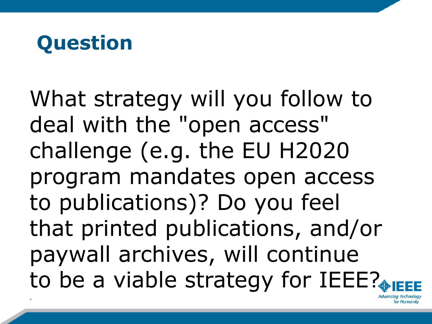

What strategy will you follow to deal with the "open access" challenge (e.g. the EU H2020 program mandates open access to publications)? Do you feel that printed publications, and/or paywall archives, will continue to be a viable strategy for IEEE?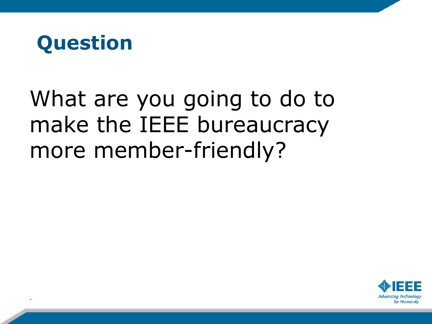

### What are you going to do to make the IEEE bureaucracy more member-friendly?

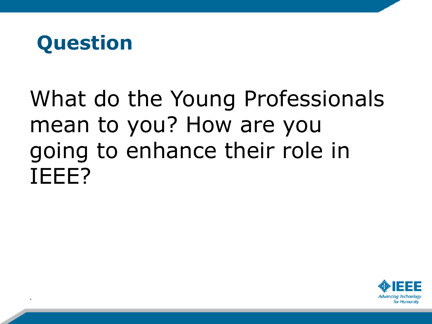

### What do the Young Professionals mean to you? How are you going to enhance their role in IEEE?

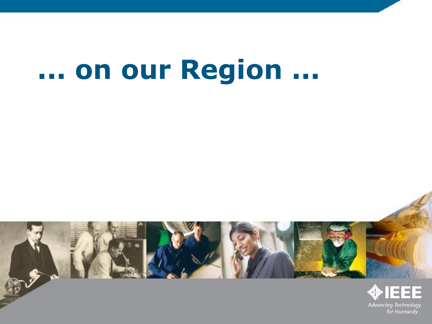## **... on our Region ...**

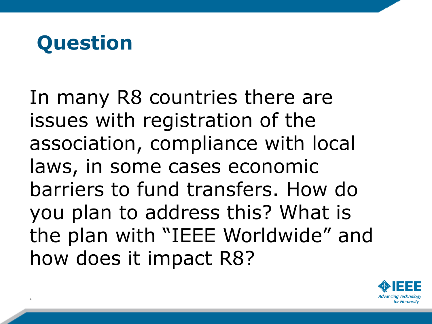

In many R8 countries there are issues with registration of the association, compliance with local laws, in some cases economic barriers to fund transfers. How do you plan to address this? What is the plan with "IEEE Worldwide" and how does it impact R8?

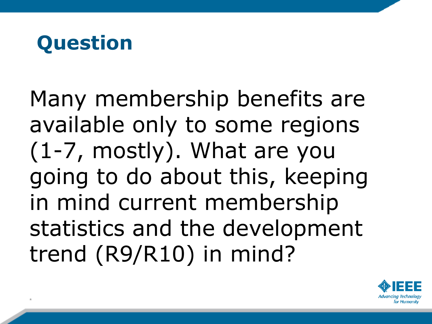#### **Question**

\*

Many membership benefits are available only to some regions (1-7, mostly). What are you going to do about this, keeping in mind current membership statistics and the development trend (R9/R10) in mind?

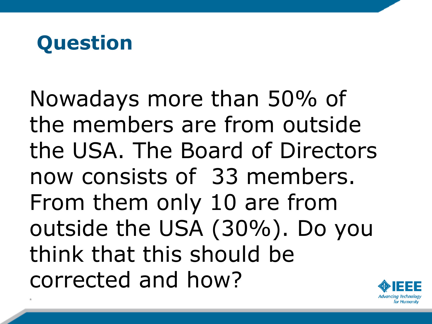#### **Question**

\*

Nowadays more than 50% of the members are from outside the USA. The Board of Directors now consists of 33 members. From them only 10 are from outside the USA (30%). Do you think that this should be corrected and how?

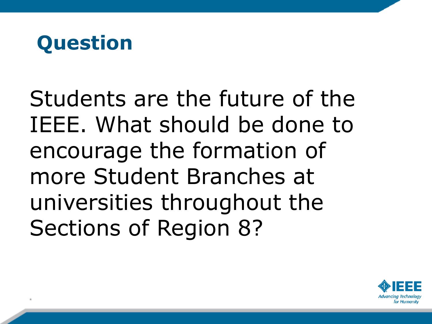

Students are the future of the IEEE. What should be done to encourage the formation of more Student Branches at universities throughout the Sections of Region 8?

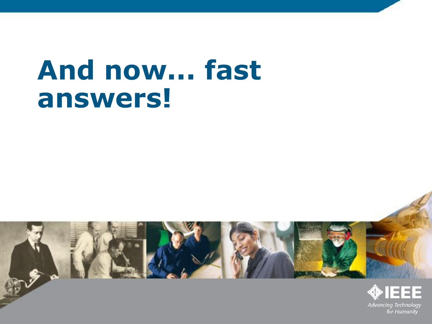## **And now... fast answers!**

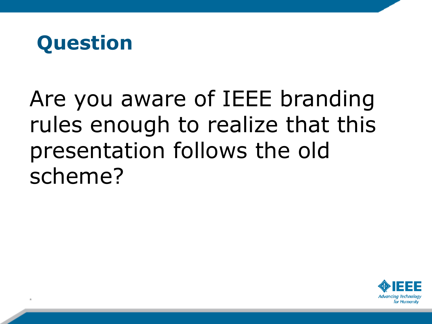

## Are you aware of IEEE branding rules enough to realize that this presentation follows the old scheme?

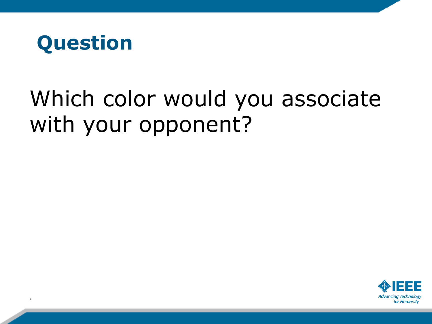

### Which color would you associate with your opponent?

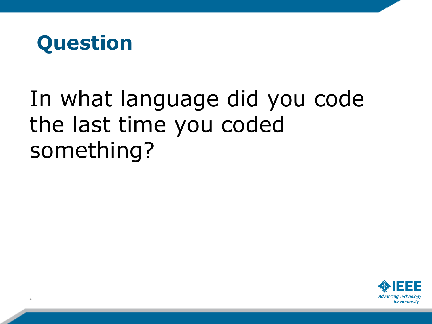

## In what language did you code the last time you coded something?

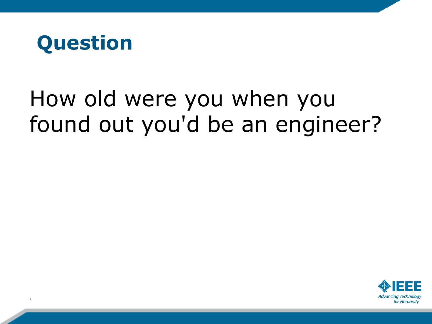

### How old were you when you found out you'd be an engineer?